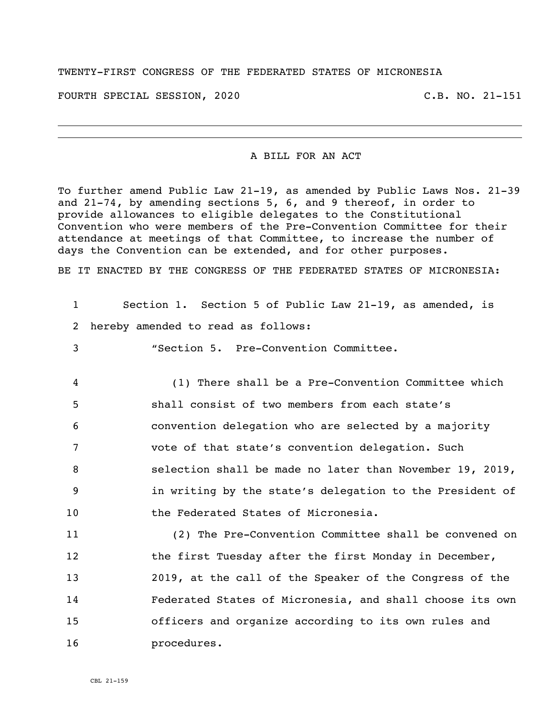## TWENTY-FIRST CONGRESS OF THE FEDERATED STATES OF MICRONESIA

FOURTH SPECIAL SESSION, 2020 C.B. NO. 21-151

## A BILL FOR AN ACT

To further amend Public Law 21-19, as amended by Public Laws Nos. 21-39 and 21-74, by amending sections 5, 6, and 9 thereof, in order to provide allowances to eligible delegates to the Constitutional Convention who were members of the Pre-Convention Committee for their attendance at meetings of that Committee, to increase the number of days the Convention can be extended, and for other purposes.

BE IT ENACTED BY THE CONGRESS OF THE FEDERATED STATES OF MICRONESIA:

| $\mathbf{1}$    | Section 1. Section 5 of Public Law 21-19, as amended, is |
|-----------------|----------------------------------------------------------|
| 2               | hereby amended to read as follows:                       |
| 3               | "Section 5. Pre-Convention Committee.                    |
| 4               | (1) There shall be a Pre-Convention Committee which      |
| 5               | shall consist of two members from each state's           |
| 6               | convention delegation who are selected by a majority     |
| 7               | vote of that state's convention delegation. Such         |
| 8               | selection shall be made no later than November 19, 2019, |
| 9               | in writing by the state's delegation to the President of |
| 10 <sup>°</sup> | the Federated States of Micronesia.                      |
| 11              | (2) The Pre-Convention Committee shall be convened on    |
| 12              | the first Tuesday after the first Monday in December,    |
| 13              | 2019, at the call of the Speaker of the Congress of the  |
| 14              | Federated States of Micronesia, and shall choose its own |
| 15              | officers and organize according to its own rules and     |
| 16              | procedures.                                              |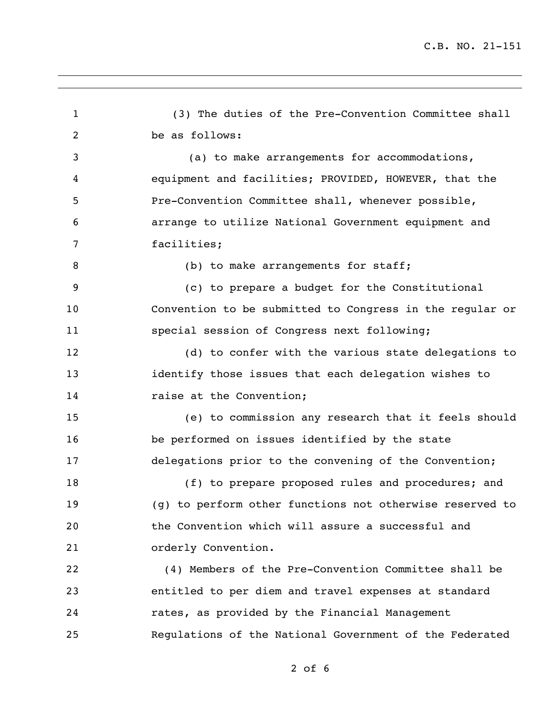(3) The duties of the Pre-Convention Committee shall be as follows: (a) to make arrangements for accommodations, equipment and facilities; PROVIDED, HOWEVER, that the Pre-Convention Committee shall, whenever possible, arrange to utilize National Government equipment and facilities; 8 (b) to make arrangements for staff; (c) to prepare a budget for the Constitutional Convention to be submitted to Congress in the regular or special session of Congress next following; (d) to confer with the various state delegations to identify those issues that each delegation wishes to 14 raise at the Convention; (e) to commission any research that it feels should be performed on issues identified by the state delegations prior to the convening of the Convention; (f) to prepare proposed rules and procedures; and (g) to perform other functions not otherwise reserved to the Convention which will assure a successful and orderly Convention. (4) Members of the Pre-Convention Committee shall be entitled to per diem and travel expenses at standard rates, as provided by the Financial Management Regulations of the National Government of the Federated

of 6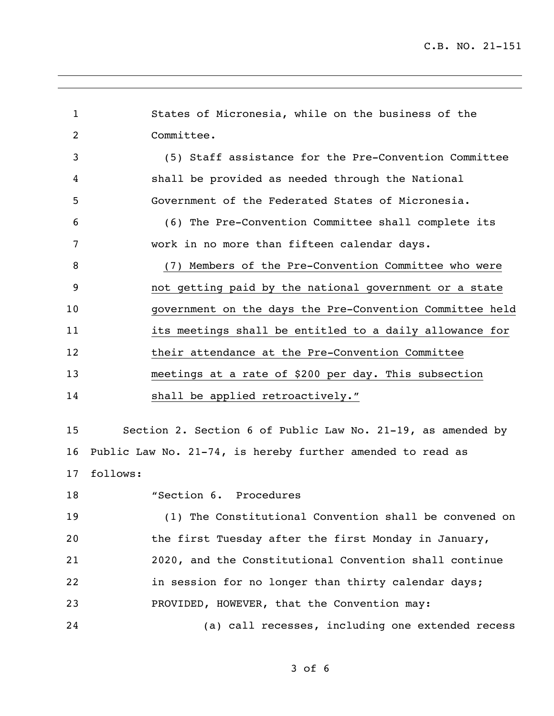States of Micronesia, while on the business of the Committee. (5) Staff assistance for the Pre-Convention Committee shall be provided as needed through the National Government of the Federated States of Micronesia. (6) The Pre-Convention Committee shall complete its work in no more than fifteen calendar days. (7) Members of the Pre-Convention Committee who were not getting paid by the national government or a state government on the days the Pre-Convention Committee held its meetings shall be entitled to a daily allowance for 12 their attendance at the Pre-Convention Committee meetings at a rate of \$200 per day. This subsection shall be applied retroactively." Section 2. Section 6 of Public Law No. 21-19, as amended by Public Law No. 21-74, is hereby further amended to read as follows: "Section 6. Procedures (1) The Constitutional Convention shall be convened on the first Tuesday after the first Monday in January, 2020, and the Constitutional Convention shall continue in session for no longer than thirty calendar days;

PROVIDED, HOWEVER, that the Convention may:

(a) call recesses, including one extended recess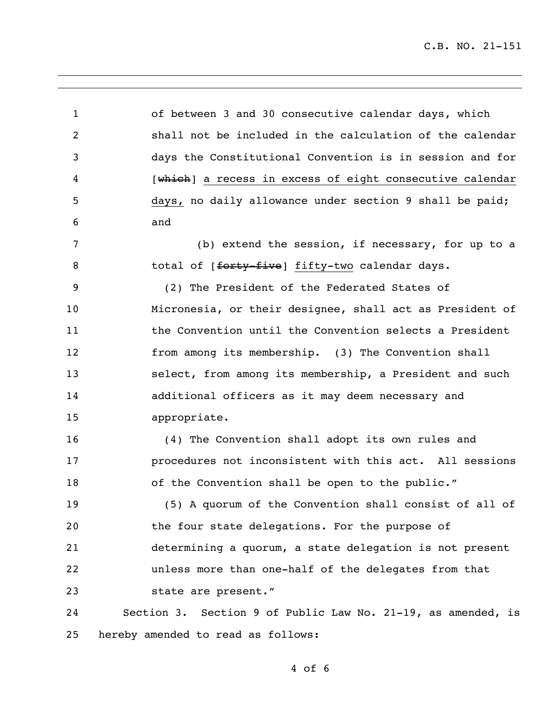C.B. NO. 21-151

 of between 3 and 30 consecutive calendar days, which shall not be included in the calculation of the calendar days the Constitutional Convention is in session and for 4 [which] a recess in excess of eight consecutive calendar days, no daily allowance under section 9 shall be paid; and (b) extend the session, if necessary, for up to a 8 total of [forty-five] fifty-two calendar days. (2) The President of the Federated States of Micronesia, or their designee, shall act as President of the Convention until the Convention selects a President from among its membership. (3) The Convention shall select, from among its membership, a President and such additional officers as it may deem necessary and appropriate. (4) The Convention shall adopt its own rules and procedures not inconsistent with this act. All sessions 18 of the Convention shall be open to the public." (5) A quorum of the Convention shall consist of all of the four state delegations. For the purpose of determining a quorum, a state delegation is not present unless more than one-half of the delegates from that state are present." Section 3. Section 9 of Public Law No. 21-19, as amended, is hereby amended to read as follows: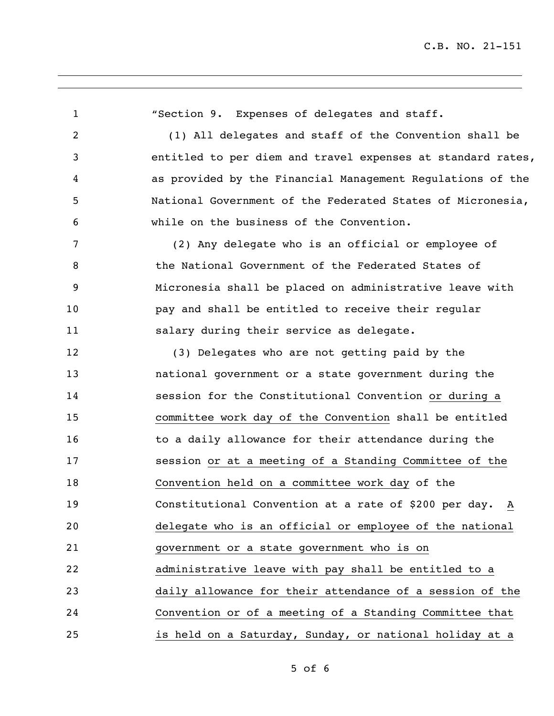"Section 9. Expenses of delegates and staff. (1) All delegates and staff of the Convention shall be entitled to per diem and travel expenses at standard rates, as provided by the Financial Management Regulations of the National Government of the Federated States of Micronesia, while on the business of the Convention. (2) Any delegate who is an official or employee of the National Government of the Federated States of Micronesia shall be placed on administrative leave with pay and shall be entitled to receive their regular salary during their service as delegate. (3) Delegates who are not getting paid by the national government or a state government during the session for the Constitutional Convention or during a committee work day of the Convention shall be entitled 16 to a daily allowance for their attendance during the session or at a meeting of a Standing Committee of the Convention held on a committee work day of the Constitutional Convention at a rate of \$200 per day. A delegate who is an official or employee of the national government or a state government who is on administrative leave with pay shall be entitled to a daily allowance for their attendance of a session of the Convention or of a meeting of a Standing Committee that is held on a Saturday, Sunday, or national holiday at a

of 6